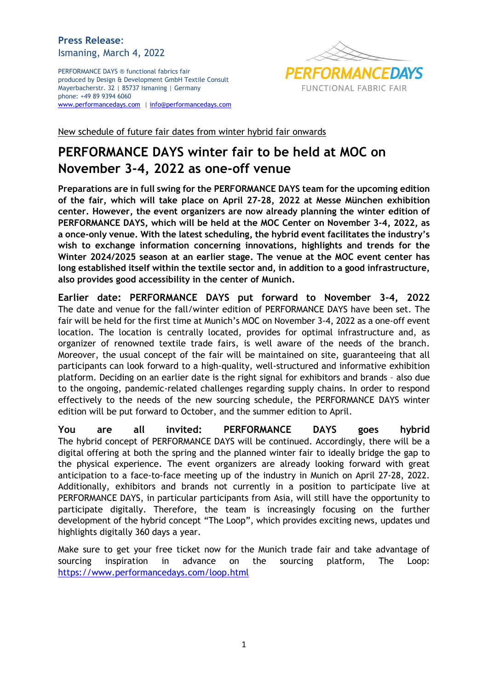## **Press Release**: Ismaning, March 4, 2022

PERFORMANCE DAYS ® functional fabrics fair produced by Design & Development GmbH Textile Consult Mayerbacherstr. 32 | 85737 Ismaning | Germany phone: +49 89 9394 6060 [www.performancedays.com](http://www.performancedays.com/) [| info@performancedays.com](mailto:info@performancedays.com)



New schedule of future fair dates from winter hybrid fair onwards

## **PERFORMANCE DAYS winter fair to be held at MOC on November 3-4, 2022 as one-off venue**

**Preparations are in full swing for the PERFORMANCE DAYS team for the upcoming edition of the fair, which will take place on April 27-28, 2022 at Messe München exhibition center. However, the event organizers are now already planning the winter edition of PERFORMANCE DAYS, which will be held at the MOC Center on November 3-4, 2022, as a once-only venue. With the latest scheduling, the hybrid event facilitates the industry's wish to exchange information concerning innovations, highlights and trends for the Winter 2024/2025 season at an earlier stage. The venue at the MOC event center has long established itself within the textile sector and, in addition to a good infrastructure, also provides good accessibility in the center of Munich.** 

**Earlier date: PERFORMANCE DAYS put forward to November 3-4, 2022** The date and venue for the fall/winter edition of PERFORMANCE DAYS have been set. The fair will be held for the first time at Munich's MOC on November 3-4, 2022 as a one-off event location. The location is centrally located, provides for optimal infrastructure and, as organizer of renowned textile trade fairs, is well aware of the needs of the branch. Moreover, the usual concept of the fair will be maintained on site, guaranteeing that all participants can look forward to a high-quality, well-structured and informative exhibition platform. Deciding on an earlier date is the right signal for exhibitors and brands – also due to the ongoing, pandemic-related challenges regarding supply chains. In order to respond effectively to the needs of the new sourcing schedule, the PERFORMANCE DAYS winter edition will be put forward to October, and the summer edition to April.

**You are all invited: PERFORMANCE DAYS goes hybrid** The hybrid concept of PERFORMANCE DAYS will be continued. Accordingly, there will be a digital offering at both the spring and the planned winter fair to ideally bridge the gap to the physical experience. The event organizers are already looking forward with great anticipation to a face-to-face meeting up of the industry in Munich on April 27-28, 2022. Additionally, exhibitors and brands not currently in a position to participate live at PERFORMANCE DAYS, in particular participants from Asia, will still have the opportunity to participate digitally. Therefore, the team is increasingly focusing on the further development of the hybrid concept "The Loop", which provides exciting news, updates und highlights digitally 360 days a year.

Make sure to get your free ticket now for the Munich trade fair and take advantage of sourcing inspiration in advance on the sourcing platform, The Loop: <https://www.performancedays.com/loop.html>